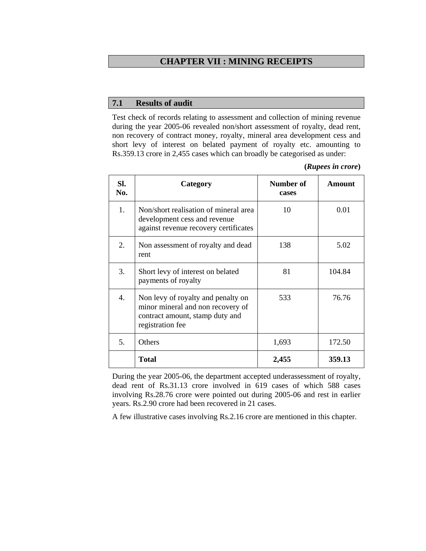# **CHAPTER VII : MINING RECEIPTS**

#### **7.1 Results of audit**

Test check of records relating to assessment and collection of mining revenue during the year 2005-06 revealed non/short assessment of royalty, dead rent, non recovery of contract money, royalty, mineral area development cess and short levy of interest on belated payment of royalty etc. amounting to Rs.359.13 crore in 2,455 cases which can broadly be categorised as under:

| (Rupees in crore) |  |
|-------------------|--|
|                   |  |

| SI.<br>No. | Category                                                                                                                       | Number of<br>cases | Amount |
|------------|--------------------------------------------------------------------------------------------------------------------------------|--------------------|--------|
| 1.         | Non/short realisation of mineral area<br>development cess and revenue<br>against revenue recovery certificates                 | 10                 | 0.01   |
| 2.         | Non assessment of royalty and dead<br>rent                                                                                     | 138                | 5.02   |
| 3.         | Short levy of interest on belated<br>payments of royalty                                                                       | 81                 | 104.84 |
| 4.         | Non levy of royalty and penalty on<br>minor mineral and non recovery of<br>contract amount, stamp duty and<br>registration fee | 533                | 76.76  |
| 5.         | Others                                                                                                                         | 1,693              | 172.50 |
|            | <b>Total</b>                                                                                                                   | 2,455              | 359.13 |

During the year 2005-06, the department accepted underassessment of royalty, dead rent of Rs.31.13 crore involved in 619 cases of which 588 cases involving Rs.28.76 crore were pointed out during 2005-06 and rest in earlier years. Rs.2.90 crore had been recovered in 21 cases.

A few illustrative cases involving Rs.2.16 crore are mentioned in this chapter.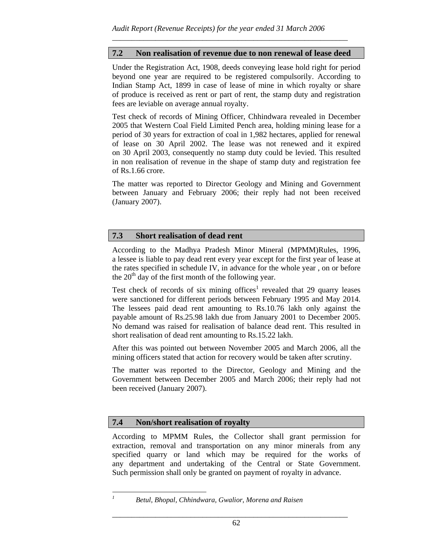# **7.2 Non realisation of revenue due to non renewal of lease deed**

\_\_\_\_\_\_\_\_\_\_\_\_\_\_\_\_\_\_\_\_\_\_\_\_\_\_\_\_\_\_\_\_\_\_\_\_\_\_\_\_\_\_\_\_\_\_\_\_\_\_\_\_\_\_\_\_\_\_\_\_

Under the Registration Act, 1908, deeds conveying lease hold right for period beyond one year are required to be registered compulsorily. According to Indian Stamp Act, 1899 in case of lease of mine in which royalty or share of produce is received as rent or part of rent, the stamp duty and registration fees are leviable on average annual royalty.

Test check of records of Mining Officer, Chhindwara revealed in December 2005 that Western Coal Field Limited Pench area, holding mining lease for a period of 30 years for extraction of coal in 1,982 hectares, applied for renewal of lease on 30 April 2002. The lease was not renewed and it expired on 30 April 2003, consequently no stamp duty could be levied. This resulted in non realisation of revenue in the shape of stamp duty and registration fee of Rs.1.66 crore.

The matter was reported to Director Geology and Mining and Government between January and February 2006; their reply had not been received (January 2007).

### **7.3 Short realisation of dead rent**

According to the Madhya Pradesh Minor Mineral (MPMM)Rules, 1996, a lessee is liable to pay dead rent every year except for the first year of lease at the rates specified in schedule IV, in advance for the whole year , on or before the  $20<sup>th</sup>$  day of the first month of the following year.

Test check of records of six mining offices<sup>1</sup> revealed that 29 quarry leases were sanctioned for different periods between February 1995 and May 2014. The lessees paid dead rent amounting to Rs.10.76 lakh only against the payable amount of Rs.25.98 lakh due from January 2001 to December 2005. No demand was raised for realisation of balance dead rent. This resulted in short realisation of dead rent amounting to Rs.15.22 lakh.

After this was pointed out between November 2005 and March 2006, all the mining officers stated that action for recovery would be taken after scrutiny.

The matter was reported to the Director, Geology and Mining and the Government between December 2005 and March 2006; their reply had not been received (January 2007).

### **7.4 Non/short realisation of royalty**

According to MPMM Rules, the Collector shall grant permission for extraction, removal and transportation on any minor minerals from any specified quarry or land which may be required for the works of any department and undertaking of the Central or State Government. Such permission shall only be granted on payment of royalty in advance.

*1*

\_\_\_\_\_\_\_\_\_\_\_\_\_\_\_\_\_\_\_\_\_\_\_\_\_\_\_\_\_\_\_\_\_\_\_\_\_\_\_\_\_\_\_\_\_\_\_\_\_\_\_\_\_\_\_\_\_\_\_\_

*Betul, Bhopal, Chhindwara, Gwalior, Morena and Raisen*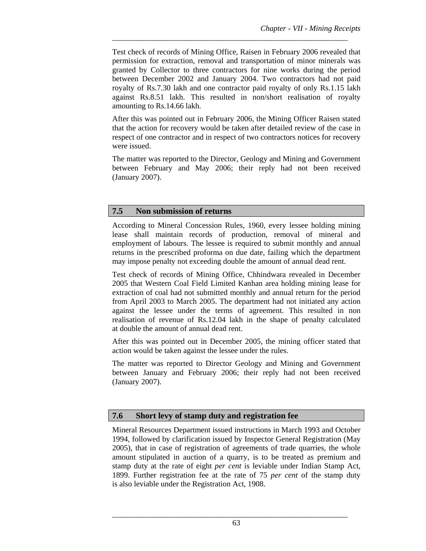Test check of records of Mining Office, Raisen in February 2006 revealed that permission for extraction, removal and transportation of minor minerals was granted by Collector to three contractors for nine works during the period between December 2002 and January 2004. Two contractors had not paid royalty of Rs.7.30 lakh and one contractor paid royalty of only Rs.1.15 lakh against Rs.8.51 lakh. This resulted in non/short realisation of royalty amounting to Rs.14.66 lakh.

\_\_\_\_\_\_\_\_\_\_\_\_\_\_\_\_\_\_\_\_\_\_\_\_\_\_\_\_\_\_\_\_\_\_\_\_\_\_\_\_\_\_\_\_\_\_\_\_\_\_\_\_\_\_\_\_\_\_\_\_

After this was pointed out in February 2006, the Mining Officer Raisen stated that the action for recovery would be taken after detailed review of the case in respect of one contractor and in respect of two contractors notices for recovery were issued.

The matter was reported to the Director, Geology and Mining and Government between February and May 2006; their reply had not been received (January 2007).

#### **7.5 Non submission of returns**

According to Mineral Concession Rules, 1960, every lessee holding mining lease shall maintain records of production, removal of mineral and employment of labours. The lessee is required to submit monthly and annual returns in the prescribed proforma on due date, failing which the department may impose penalty not exceeding double the amount of annual dead rent.

Test check of records of Mining Office, Chhindwara revealed in December 2005 that Western Coal Field Limited Kanhan area holding mining lease for extraction of coal had not submitted monthly and annual return for the period from April 2003 to March 2005. The department had not initiated any action against the lessee under the terms of agreement. This resulted in non realisation of revenue of Rs.12.04 lakh in the shape of penalty calculated at double the amount of annual dead rent.

After this was pointed out in December 2005, the mining officer stated that action would be taken against the lessee under the rules.

The matter was reported to Director Geology and Mining and Government between January and February 2006; their reply had not been received (January 2007).

#### **7.6 Short levy of stamp duty and registration fee**

Mineral Resources Department issued instructions in March 1993 and October 1994, followed by clarification issued by Inspector General Registration (May 2005), that in case of registration of agreements of trade quarries, the whole amount stipulated in auction of a quarry, is to be treated as premium and stamp duty at the rate of eight *per cent* is leviable under Indian Stamp Act, 1899. Further registration fee at the rate of 75 *per cent* of the stamp duty is also leviable under the Registration Act, 1908.

\_\_\_\_\_\_\_\_\_\_\_\_\_\_\_\_\_\_\_\_\_\_\_\_\_\_\_\_\_\_\_\_\_\_\_\_\_\_\_\_\_\_\_\_\_\_\_\_\_\_\_\_\_\_\_\_\_\_\_\_